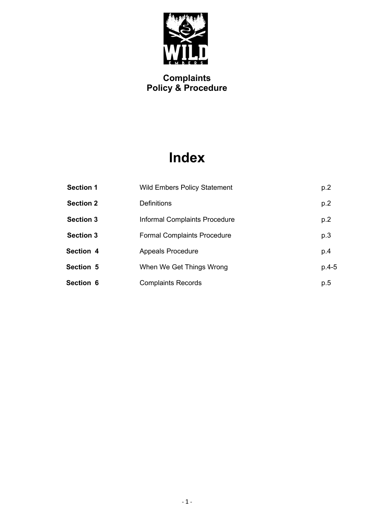

# **Index**

| <b>Section 1</b> | <b>Wild Embers Policy Statement</b> | p.2     |
|------------------|-------------------------------------|---------|
| <b>Section 2</b> | <b>Definitions</b>                  | p.2     |
| <b>Section 3</b> | Informal Complaints Procedure       | p.2     |
| <b>Section 3</b> | <b>Formal Complaints Procedure</b>  | p.3     |
| <b>Section 4</b> | <b>Appeals Procedure</b>            | p.4     |
| <b>Section 5</b> | When We Get Things Wrong            | $p.4-5$ |
| Section 6        | <b>Complaints Records</b>           | p.5     |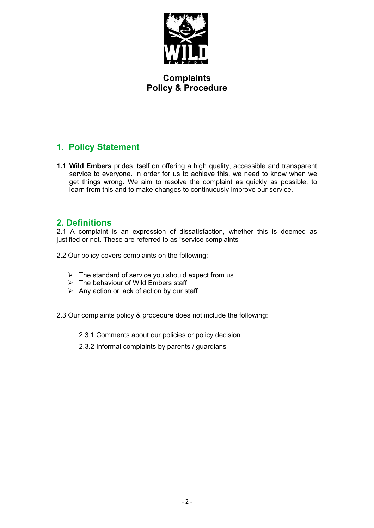

# **1. Policy Statement**

**1.1 Wild Embers** prides itself on offering a high quality, accessible and transparent service to everyone. In order for us to achieve this, we need to know when we get things wrong. We aim to resolve the complaint as quickly as possible, to learn from this and to make changes to continuously improve our service.

#### **2. Definitions**

2.1 A complaint is an expression of dissatisfaction, whether this is deemed as justified or not. These are referred to as "service complaints"

- 2.2 Our policy covers complaints on the following:
	- $\triangleright$  The standard of service you should expect from us
	- ➢ The behaviour of Wild Embers staff
	- $\triangleright$  Any action or lack of action by our staff
- 2.3 Our complaints policy & procedure does not include the following:
	- 2.3.1 Comments about our policies or policy decision
	- 2.3.2 Informal complaints by parents / guardians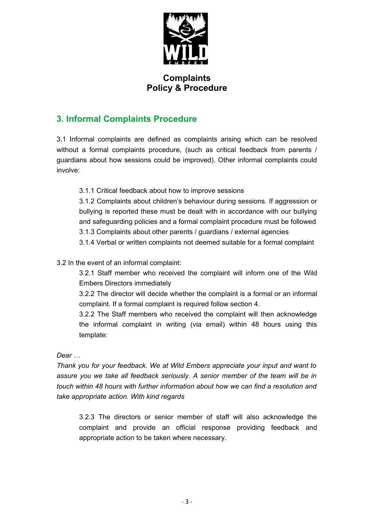

# **3. Informal Complaints Procedure**

3.1 Informal complaints are defined as complaints arising which can be resolved without a formal complaints procedure, (such as critical feedback from parents / guardians about how sessions could be improved). Other informal complaints could involve:

3.1.1 Critical feedback about how to improve sessions

3.1.2 Complaints about children's behaviour during sessions. If aggression or bullying is reported these must be dealt with in accordance with our bullying and safeguarding policies and a formal complaint procedure must be followed 3.1.3 Complaints about other parents / guardians / external agencies

3.1.4 Verbal or written complaints not deemed suitable for a formal complaint

3.2 In the event of an informal complaint:

3.2.1 Staff member who received the complaint will inform one of the Wild Embers Directors immediately

3.2.2 The director will decide whether the complaint is a formal or an informal complaint. If a formal complaint is required follow section 4.

3.2.2 The Staff members who received the complaint will then acknowledge the informal complaint in writing (via email) within 48 hours using this template:

*Dear …*

*Thank you for your feedback. We at Wild Embers appreciate your input and want to assure you we take all feedback seriously. A senior member of the team will be in touch within 48 hours with further information about how we can find a resolution and take appropriate action. With kind regards* 

3.2.3 The directors or senior member of staff will also acknowledge the complaint and provide an official response providing feedback and appropriate action to be taken where necessary.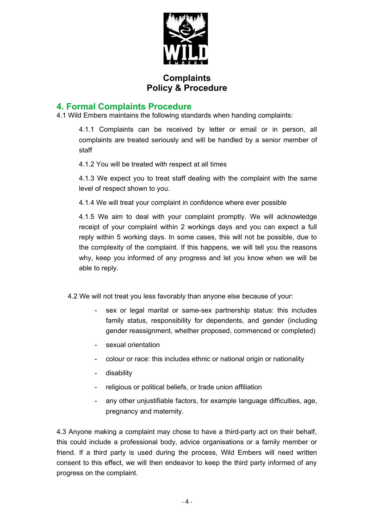

#### **4. Formal Complaints Procedure**

4.1 Wild Embers maintains the following standards when handing complaints:

4.1.1 Complaints can be received by letter or email or in person, all complaints are treated seriously and will be handled by a senior member of staff

4.1.2 You will be treated with respect at all times

4.1.3 We expect you to treat staff dealing with the complaint with the same level of respect shown to you.

4.1.4 We will treat your complaint in confidence where ever possible

4.1.5 We aim to deal with your complaint promptly. We will acknowledge receipt of your complaint within 2 workings days and you can expect a full reply within 5 working days. In some cases, this will not be possible, due to the complexity of the complaint. If this happens, we will tell you the reasons why, keep you informed of any progress and let you know when we will be able to reply.

4.2 We will not treat you less favorably than anyone else because of your:

- sex or legal marital or same-sex partnership status: this includes family status, responsibility for dependents, and gender (including gender reassignment, whether proposed, commenced or completed)
- sexual orientation
- colour or race: this includes ethnic or national origin or nationality
- disability
- religious or political beliefs, or trade union affiliation
- any other unjustifiable factors, for example language difficulties, age, pregnancy and maternity.

4.3 Anyone making a complaint may chose to have a third-party act on their behalf, this could include a professional body, advice organisations or a family member or friend. If a third party is used during the process, Wild Embers will need written consent to this effect, we will then endeavor to keep the third party informed of any progress on the complaint.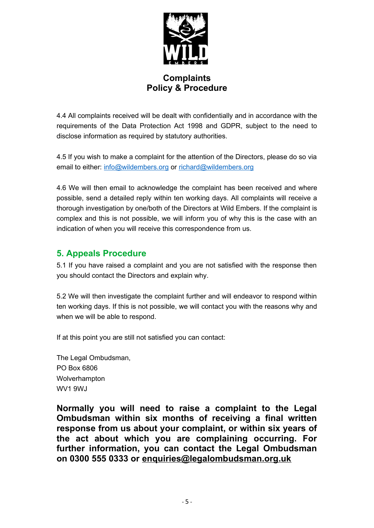

4.4 All complaints received will be dealt with confidentially and in accordance with the requirements of the Data Protection Act 1998 and GDPR, subject to the need to disclose information as required by statutory authorities.

4.5 If you wish to make a complaint for the attention of the Directors, please do so via email to either: [info@wildembers.org](mailto:info@wildembers.org) or [richard@wildembers.org](mailto:richard@wildembers.org)

4.6 We will then email to acknowledge the complaint has been received and where possible, send a detailed reply within ten working days. All complaints will receive a thorough investigation by one/both of the Directors at Wild Embers. If the complaint is complex and this is not possible, we will inform you of why this is the case with an indication of when you will receive this correspondence from us.

# **5. Appeals Procedure**

5.1 If you have raised a complaint and you are not satisfied with the response then you should contact the Directors and explain why.

5.2 We will then investigate the complaint further and will endeavor to respond within ten working days. If this is not possible, we will contact you with the reasons why and when we will be able to respond.

If at this point you are still not satisfied you can contact:

The Legal Ombudsman, PO Box 6806 **Wolverhampton** WV1 9WJ

**Normally you will need to raise a complaint to the Legal Ombudsman within six months of receiving a final written response from us about your complaint, or within six years of the act about which you are complaining occurring. For further information, you can contact the Legal Ombudsman on 0300 555 0333 or [enquiries@legalombudsman.org.uk](mailto:enquiries@legalombudsman.org.uk)**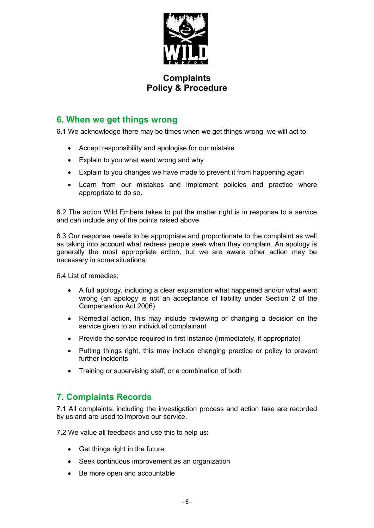

#### **6. When we get things wrong**

6.1 We acknowledge there may be times when we get things wrong, we will act to:

- Accept responsibility and apologise for our mistake
- Explain to you what went wrong and why
- Explain to you changes we have made to prevent it from happening again
- Learn from our mistakes and implement policies and practice where appropriate to do so.

6.2 The action Wild Embers takes to put the matter right is in response to a service and can include any of the points raised above.

6.3 Our response needs to be appropriate and proportionate to the complaint as well as taking into account what redress people seek when they complain. An apology is generally the most appropriate action, but we are aware other action may be necessary in some situations.

6.4 List of remedies;

- A full apology, including a clear explanation what happened and/or what went wrong (an apology is not an acceptance of liability under Section 2 of the Compensation Act 2006)
- Remedial action, this may include reviewing or changing a decision on the service given to an individual complainant
- Provide the service required in first instance (immediately, if appropriate)
- Putting things right, this may include changing practice or policy to prevent further incidents
- Training or supervising staff; or a combination of both

#### **7. Complaints Records**

7.1 All complaints, including the investigation process and action take are recorded by us and are used to improve our service.

7.2 We value all feedback and use this to help us:

- Get things right in the future
- Seek continuous improvement as an organization
- Be more open and accountable